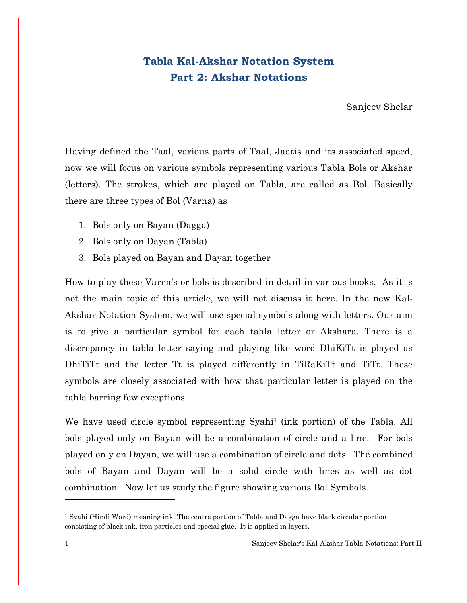## Tabla Kal-Akshar Notation System Part 2: Akshar Notations

Sanjeev Shelar

Having defined the Taal, various parts of Taal, Jaatis and its associated speed, now we will focus on various symbols representing various Tabla Bols or Akshar (letters). The strokes, which are played on Tabla, are called as Bol. Basically there are three types of Bol (Varna) as

- 1. Bols only on Bayan (Dagga)
- 2. Bols only on Dayan (Tabla)
- 3. Bols played on Bayan and Dayan together

How to play these Varna's or bols is described in detail in various books. As it is not the main topic of this article, we will not discuss it here. In the new Kal-Akshar Notation System, we will use special symbols along with letters. Our aim is to give a particular symbol for each tabla letter or Akshara. There is a discrepancy in tabla letter saying and playing like word DhiKiTt is played as DhiTiTt and the letter Tt is played differently in TiRaKiTt and TiTt. These symbols are closely associated with how that particular letter is played on the tabla barring few exceptions.

We have used circle symbol representing Syahi<sup>1</sup> (ink portion) of the Tabla. All bols played only on Bayan will be a combination of circle and a line. For bols played only on Dayan, we will use a combination of circle and dots. The combined bols of Bayan and Dayan will be a solid circle with lines as well as dot combination. Now let us study the figure showing various Bol Symbols.

l

<sup>&</sup>lt;sup>1</sup> Syahi (Hindi Word) meaning ink. The centre portion of Tabla and Dagga have black circular portion consisting of black ink, iron particles and special glue. It is applied in layers.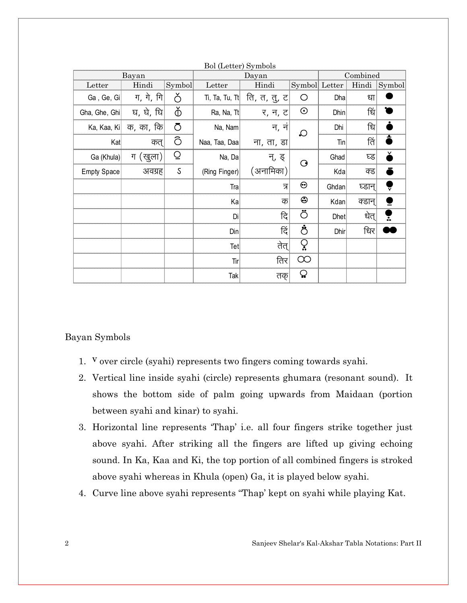| Bayan              |           | $D_{01}$ (Denet) $D_{y}$ moons<br>Dayan |                | Combined     |                           |       |        |                         |
|--------------------|-----------|-----------------------------------------|----------------|--------------|---------------------------|-------|--------|-------------------------|
| Letter             | Hindi     | Symbol                                  | Letter         | Hindi        | Symbol Letter             |       | Hindi  | Symbol                  |
| Ga, Ge, Gi         | ग, गे, गि | Ŏ                                       | Ti, Ta, Tu, Tt | ति, त, तु, ट | O                         | Dha   | धा     |                         |
| Gha, Ghe, Ghi      | घ, घे, घि | ò                                       | Ra, Na, Tt     | र, न, ट      | $\odot$                   | Dhin  | धि     |                         |
| Ka, Kaa, Ki        | क, का, कि | Ō                                       | Na, Nam        | न, न         | $\Omega$                  | Dhi   | धि     |                         |
| Kat                | कत्       | Ô                                       | Naa, Taa, Daa  | ना, ता, डा   |                           | Tin   | तिं    |                         |
| Ga (Khula)         | ग (खुला)  | Ō                                       | Na, Da         | न्, इ        | $\mathbf{\Theta}$         | Ghad  | घ्ड    |                         |
| <b>Empty Space</b> | अवग्रह    | $\mathsf S$                             | (Ring Finger)  | (अनामिका)    |                           | Kda   | क्ड    |                         |
|                    |           |                                         | Tra            | त्र          | ⊖                         | Ghdan | घ्डान् | ⊽                       |
|                    |           |                                         | Ka             | क            | ☺                         | Kdan  | क्डान् |                         |
|                    |           |                                         | Di             | दि           | Ö                         | Dhet  | धेत्   | $\overline{\mathbf{r}}$ |
|                    |           |                                         | Din            | दि           | ඵ්                        | Dhir  | धिर    |                         |
|                    |           |                                         | Tet            | तेत          | ဝှ                        |       |        |                         |
|                    |           |                                         | $\text{Tr}$    | तिर          | $\infty$                  |       |        |                         |
|                    |           |                                         | Tak            | तक्          | $\boldsymbol{\mathsf{Q}}$ |       |        |                         |

Bol (Letter) Symbols

#### Bayan Symbols

- 1. <sup>V</sup> over circle (syahi) represents two fingers coming towards syahi.
- 2. Vertical line inside syahi (circle) represents ghumara (resonant sound). It shows the bottom side of palm going upwards from Maidaan (portion between syahi and kinar) to syahi.
- 3. Horizontal line represents 'Thap' i.e. all four fingers strike together just above syahi. After striking all the fingers are lifted up giving echoing sound. In Ka, Kaa and Ki, the top portion of all combined fingers is stroked above syahi whereas in Khula (open) Ga, it is played below syahi.
- 4. Curve line above syahi represents "Thap' kept on syahi while playing Kat.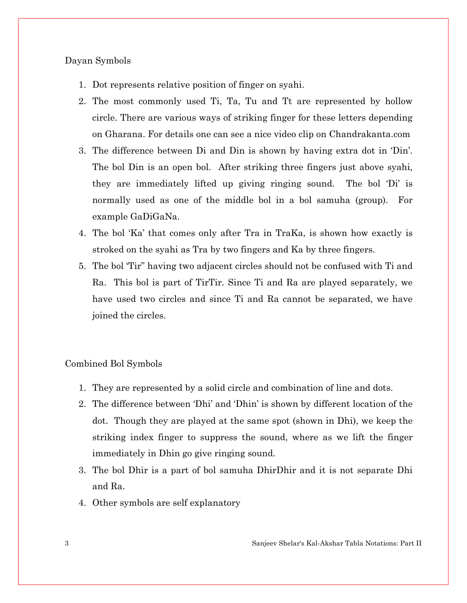#### Dayan Symbols

- 1. Dot represents relative position of finger on syahi.
- 2. The most commonly used Ti, Ta, Tu and Tt are represented by hollow circle. There are various ways of striking finger for these letters depending on Gharana. For details one can see a nice video clip on Chandrakanta.com
- 3. The difference between Di and Din is shown by having extra dot in 'Din'. The bol Din is an open bol. After striking three fingers just above syahi, they are immediately lifted up giving ringing sound. The bol 'Di' is normally used as one of the middle bol in a bol samuha (group). For example GaDiGaNa.
- 4. The bol 'Ka' that comes only after Tra in TraKa, is shown how exactly is stroked on the syahi as Tra by two fingers and Ka by three fingers.
- 5. The bol 'Tir" having two adjacent circles should not be confused with Ti and Ra. This bol is part of TirTir. Since Ti and Ra are played separately, we have used two circles and since Ti and Ra cannot be separated, we have joined the circles.

#### Combined Bol Symbols

- 1. They are represented by a solid circle and combination of line and dots.
- 2. The difference between 'Dhi' and 'Dhin' is shown by different location of the dot. Though they are played at the same spot (shown in Dhi), we keep the striking index finger to suppress the sound, where as we lift the finger immediately in Dhin go give ringing sound.
- 3. The bol Dhir is a part of bol samuha DhirDhir and it is not separate Dhi and Ra.
- 4. Other symbols are self explanatory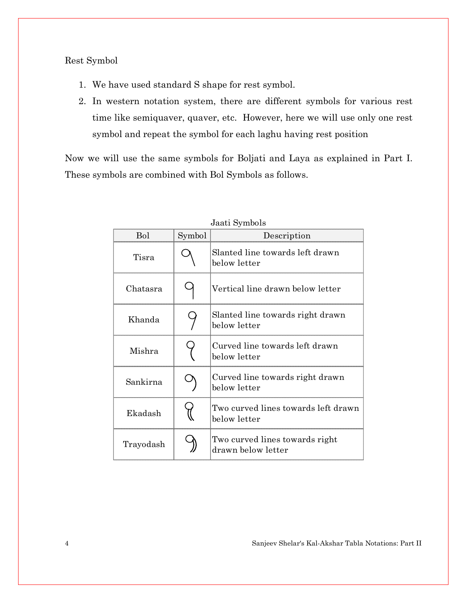Rest Symbol

- 1. We have used standard S shape for rest symbol.
- 2. In western notation system, there are different symbols for various rest time like semiquaver, quaver, etc. However, here we will use only one rest symbol and repeat the symbol for each laghu having rest position

Now we will use the same symbols for Boljati and Laya as explained in Part I. These symbols are combined with Bol Symbols as follows.

| <b>Bol</b> | Symbol<br>Description |                                                      |
|------------|-----------------------|------------------------------------------------------|
| Tisra      |                       | Slanted line towards left drawn<br>below letter      |
| Chatasra   |                       | Vertical line drawn below letter                     |
| Khanda     |                       | Slanted line towards right drawn<br>below letter     |
| Mishra     |                       | Curved line towards left drawn<br>below letter       |
| Sankirna   |                       | Curved line towards right drawn<br>below letter      |
| Ekadash    |                       | Two curved lines towards left drawn<br>below letter  |
| Trayodash  |                       | Two curved lines towards right<br>drawn below letter |

Jaati Symbols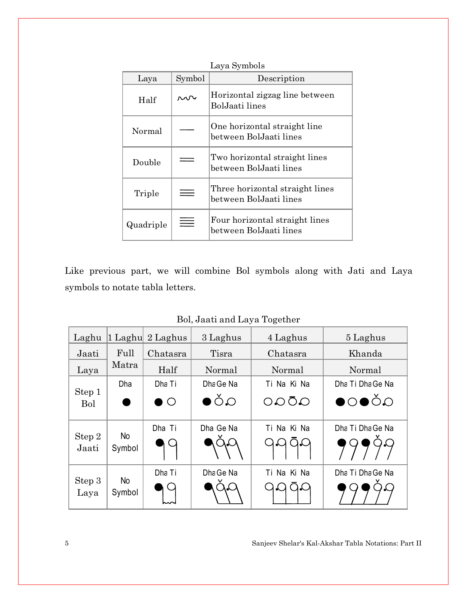| Laya      | Symbol | Description                                               |
|-----------|--------|-----------------------------------------------------------|
| Half      |        | Horizontal zigzag line between<br>BolJaati lines          |
| Normal    |        | One horizontal straight line<br>between BolJaati lines    |
| Double    |        | Two horizontal straight lines<br>between BolJaati lines   |
| Triple    |        | Three horizontal straight lines<br>between BolJaati lines |
| Quadriple |        | Four horizontal straight lines<br>between BolJaati lines  |

Like previous part, we will combine Bol symbols along with Jati and Laya symbols to notate tabla letters.

| Laghu           |                     | 1 Laghu 2 Laghus | 3 Laghus     | 4 Laghus           | 5 Laghus                            |
|-----------------|---------------------|------------------|--------------|--------------------|-------------------------------------|
| Jaati           | Full                | Chatasra         | Tisra        | Chatasra           | Khanda                              |
| Laya            | Matra               | Half             | Normal       | Normal             | Normal                              |
|                 | Dha                 | Dha Ti           | Dha Ge Na    | Ti Na Ki Na        | Dha Ti Dha Ge Na                    |
| Step 1<br>Bol   |                     | $\bigcirc$       | $\bullet$ ŎΩ | $OO\bar{O}O$       | $\bullet$ $\circ$ $\bullet$ $\circ$ |
| Step 2<br>Jaati | <b>No</b><br>Symbol | Dha Ti           | Dha Ge Na    | Ti Na Ki Na<br>QQ  | Dha Ti Dha Ge Na                    |
| Step 3<br>Laya  | <b>No</b><br>Symbol | Dha Ti           | Dha Ge Na    | Ti Na Ki Na<br>مدا | Dha Ti Dha Ge Na                    |

Bol, Jaati and Laya Together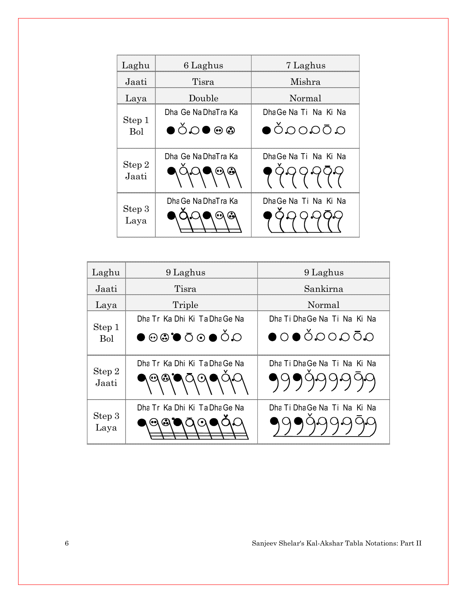| Laghu           | 6 Laghus                 | 7 Laghus                                   |
|-----------------|--------------------------|--------------------------------------------|
| Jaati           | Tisra                    | Mishra                                     |
| Laya            | Double                   | Normal                                     |
|                 | Dha Ge Na DhaTra Ka      | DhaGe Na Ti Na Ki Na                       |
| Step 1<br>Bol   | $\bullet$ ŎQ $\bullet$ @ | $\alpha$ Ō $\alpha$ O $\alpha$ Ŏ $\bullet$ |
|                 | Dha Ge Na DhaTra Ka      | DhaGe Na Ti Na Ki Na                       |
| Step 2<br>Jaati |                          |                                            |
|                 | Dha Ge Na DhaTra Ka      | Dha Ge Na Ti Na Ki Na                      |
| Step 3<br>Laya  |                          |                                            |

| Laghu           | 9 Laghus                                                   | 9 Laghus                                          |
|-----------------|------------------------------------------------------------|---------------------------------------------------|
| Jaati           | Tisra                                                      | Sankirna                                          |
| Laya            | Triple                                                     | Normal                                            |
|                 | Dha Tr Ka Dhi Ki Ta Dha Ge Na                              | Dha Ti Dha Ge Na Ti Na Ki Na                      |
| Step 1<br>Bol   | $O \bullet \bullet \bullet \bullet \bullet \bullet$        | $\bullet$ 0 $\bullet$ ŎQOQŌQ                      |
| Step 2<br>Jaati | Dha Tr Ka Dhi Ki Ta Dha Ge Na<br>$\bar{\Omega}$<br>$\odot$ | Dha Ti Dha Ge Na Ti Na Ki Na<br><b>၅</b> ၅၅၅၀၀၁၁၀ |
| Step 3<br>Laya  | Dha Tr Ka Dhi Ki Ta Dha Ge Na<br>۰o۱                       | Dha Ti Dha Ge Na Ti Na Ki Na                      |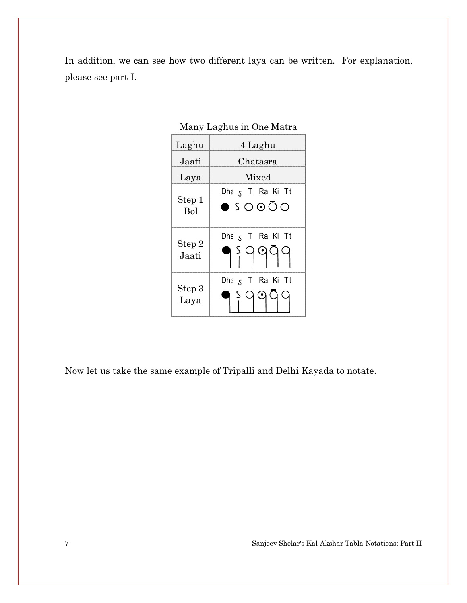In addition, we can see how two different laya can be written. For explanation, please see part I.

Many Laghus in One Matra

| Laghu           | 4 Laghu                                                  |  |  |
|-----------------|----------------------------------------------------------|--|--|
| Jaati           | Chatasra                                                 |  |  |
| Laya            | Mixed                                                    |  |  |
| Step 1<br>Bol   | Dha 5 Ti Ra Ki Tt<br>$\bullet$ 5 0 0 0 0                 |  |  |
| Step 2<br>Jaati | Dha <sub>s</sub> Ti Ra Ki Tt<br>5999                     |  |  |
| Step 3<br>Laya  | Dha <sub>S</sub> Ti Ra Ki Tt<br>$\bm{\odot}$<br>$\Omega$ |  |  |

Now let us take the same example of Tripalli and Delhi Kayada to notate.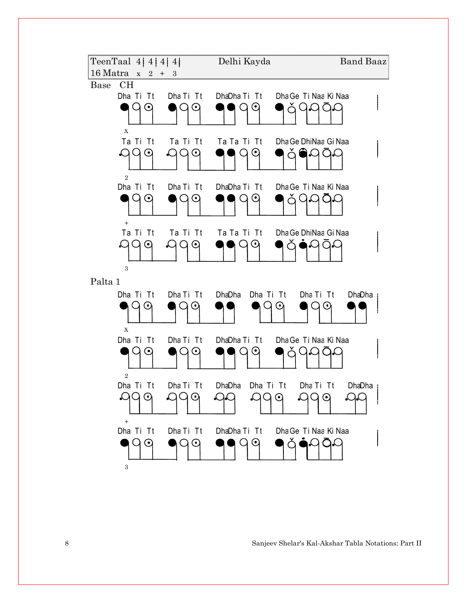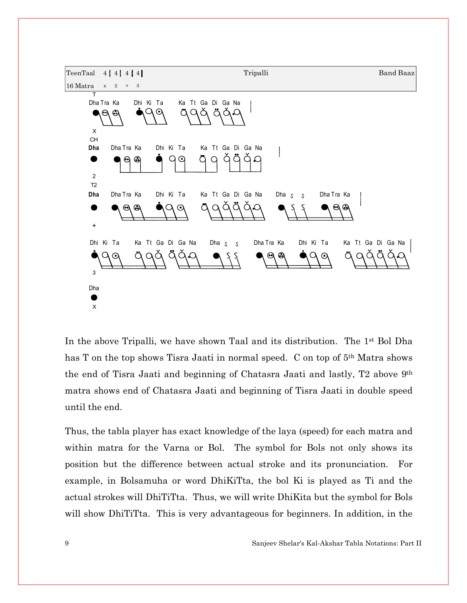

In the above Tripalli, we have shown Taal and its distribution. The  $1<sup>st</sup>$  Bol Dha has T on the top shows Tisra Jaati in normal speed. C on top of 5<sup>th</sup> Matra shows the end of Tisra Jaati and beginning of Chatasra Jaati and lastly, T2 above 9th matra shows end of Chatasra Jaati and beginning of Tisra Jaati in double speed until the end.

Thus, the tabla player has exact knowledge of the laya (speed) for each matra and within matra for the Varna or Bol. The symbol for Bols not only shows its position but the difference between actual stroke and its pronunciation. For example, in Bolsamuha or word DhiKiTta, the bol Ki is played as Ti and the actual strokes will DhiTiTta. Thus, we will write DhiKita but the symbol for Bols will show DhiTiTta. This is very advantageous for beginners. In addition, in the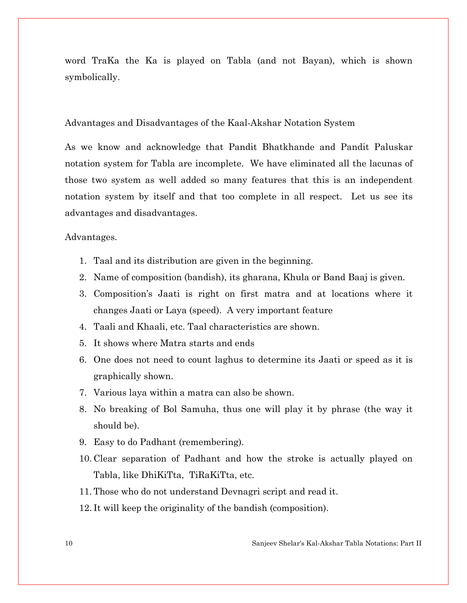word TraKa the Ka is played on Tabla (and not Bayan), which is shown symbolically.

#### Advantages and Disadvantages of the Kaal-Akshar Notation System

As we know and acknowledge that Pandit Bhatkhande and Pandit Paluskar notation system for Tabla are incomplete. We have eliminated all the lacunas of those two system as well added so many features that this is an independent notation system by itself and that too complete in all respect. Let us see its advantages and disadvantages.

#### Advantages.

- 1. Taal and its distribution are given in the beginning.
- 2. Name of composition (bandish), its gharana, Khula or Band Baaj is given.
- 3. Composition's Jaati is right on first matra and at locations where it changes Jaati or Laya (speed). A very important feature
- 4. Taali and Khaali, etc. Taal characteristics are shown.
- 5. It shows where Matra starts and ends
- 6. One does not need to count laghus to determine its Jaati or speed as it is graphically shown.
- 7. Various laya within a matra can also be shown.
- 8. No breaking of Bol Samuha, thus one will play it by phrase (the way it should be).
- 9. Easy to do Padhant (remembering).
- 10. Clear separation of Padhant and how the stroke is actually played on Tabla, like DhiKiTta, TiRaKiTta, etc.
- 11. Those who do not understand Devnagri script and read it.
- 12. It will keep the originality of the bandish (composition).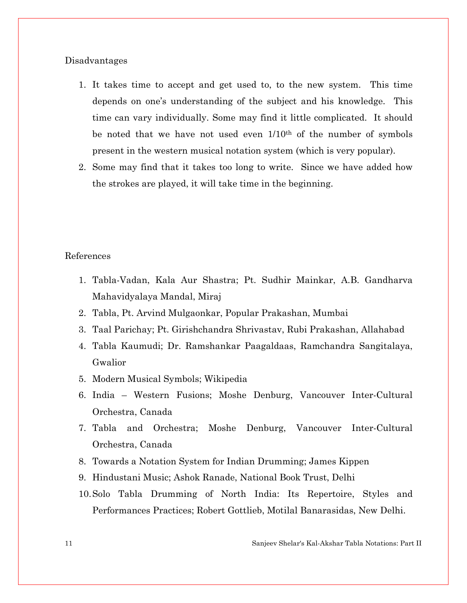#### Disadvantages

- 1. It takes time to accept and get used to, to the new system. This time depends on one's understanding of the subject and his knowledge. This time can vary individually. Some may find it little complicated. It should be noted that we have not used even  $1/10<sup>th</sup>$  of the number of symbols present in the western musical notation system (which is very popular).
- 2. Some may find that it takes too long to write. Since we have added how the strokes are played, it will take time in the beginning.

#### References

- 1. Tabla-Vadan, Kala Aur Shastra; Pt. Sudhir Mainkar, A.B. Gandharva Mahavidyalaya Mandal, Miraj
- 2. Tabla, Pt. Arvind Mulgaonkar, Popular Prakashan, Mumbai
- 3. Taal Parichay; Pt. Girishchandra Shrivastav, Rubi Prakashan, Allahabad
- 4. Tabla Kaumudi; Dr. Ramshankar Paagaldaas, Ramchandra Sangitalaya, Gwalior
- 5. Modern Musical Symbols; Wikipedia
- 6. India Western Fusions; Moshe Denburg, Vancouver Inter-Cultural Orchestra, Canada
- 7. Tabla and Orchestra; Moshe Denburg, Vancouver Inter-Cultural Orchestra, Canada
- 8. Towards a Notation System for Indian Drumming; James Kippen
- 9. Hindustani Music; Ashok Ranade, National Book Trust, Delhi
- 10.Solo Tabla Drumming of North India: Its Repertoire, Styles and Performances Practices; Robert Gottlieb, Motilal Banarasidas, New Delhi.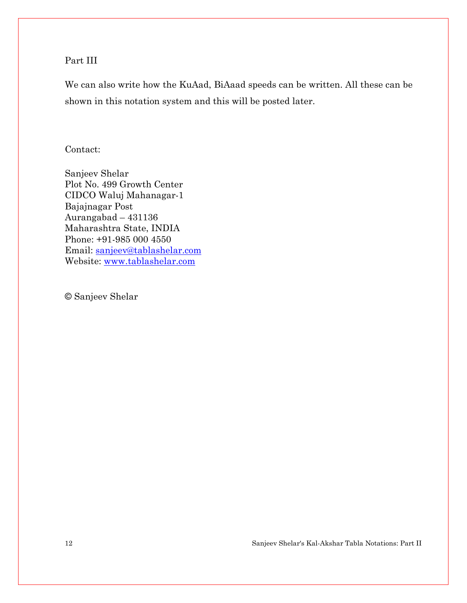### Part III

We can also write how the KuAad, BiAaad speeds can be written. All these can be shown in this notation system and this will be posted later.

#### Contact:

Sanjeev Shelar Plot No. 499 Growth Center CIDCO Waluj Mahanagar-1 Bajajnagar Post Aurangabad – 431136 Maharashtra State, INDIA Phone: +91-985 000 4550 Email: sanjeev@tablashelar.com Website: www.tablashelar.com

© Sanjeev Shelar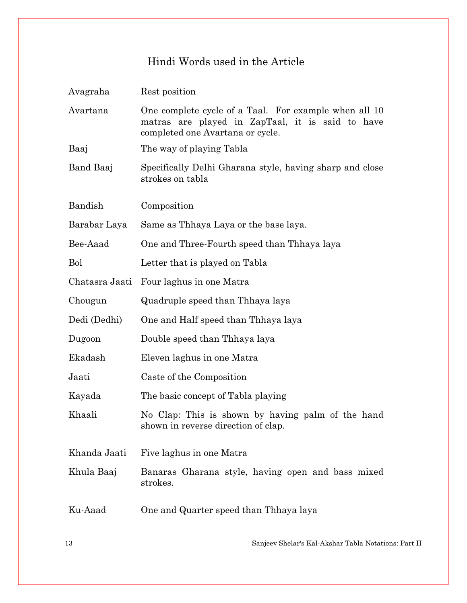# Hindi Words used in the Article

| Avagraha       | Rest position                                                                                                                                 |
|----------------|-----------------------------------------------------------------------------------------------------------------------------------------------|
| Avartana       | One complete cycle of a Taal. For example when all 10<br>matras are played in ZapTaal, it is said to have<br>completed one Avartana or cycle. |
| Baaj           | The way of playing Tabla                                                                                                                      |
| Band Baaj      | Specifically Delhi Gharana style, having sharp and close<br>strokes on tabla                                                                  |
| Bandish        | Composition                                                                                                                                   |
| Barabar Laya   | Same as Thhaya Laya or the base laya.                                                                                                         |
| Bee-Aaad       | One and Three-Fourth speed than Thhaya laya                                                                                                   |
| <b>Bol</b>     | Letter that is played on Tabla                                                                                                                |
| Chatasra Jaati | Four laghus in one Matra                                                                                                                      |
| Chougun        | Quadruple speed than Thhaya laya                                                                                                              |
| Dedi (Dedhi)   | One and Half speed than Thhaya laya                                                                                                           |
| Dugoon         | Double speed than Thhaya laya                                                                                                                 |
| Ekadash        | Eleven laghus in one Matra                                                                                                                    |
| Jaati          | Caste of the Composition                                                                                                                      |
| Kayada         | The basic concept of Tabla playing                                                                                                            |
| Khaali         | No Clap: This is shown by having palm of the hand<br>shown in reverse direction of clap.                                                      |
| Khanda Jaati   | Five laghus in one Matra                                                                                                                      |
| Khula Baaj     | Banaras Gharana style, having open and bass mixed<br>strokes.                                                                                 |
| Ku-Aaad        | One and Quarter speed than Thhaya laya                                                                                                        |